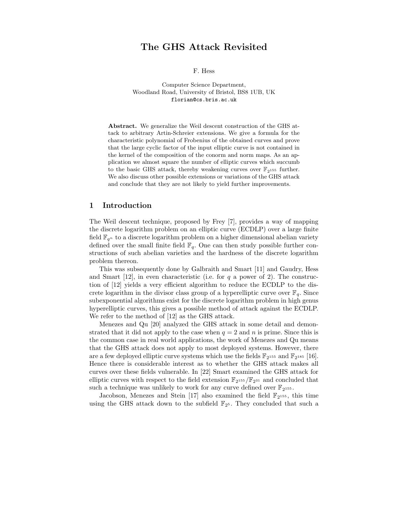# The GHS Attack Revisited

F. Hess

Computer Science Department, Woodland Road, University of Bristol, BS8 1UB, UK florian@cs.bris.ac.uk

Abstract. We generalize the Weil descent construction of the GHS attack to arbitrary Artin-Schreier extensions. We give a formula for the characteristic polynomial of Frobenius of the obtained curves and prove that the large cyclic factor of the input elliptic curve is not contained in the kernel of the composition of the conorm and norm maps. As an application we almost square the number of elliptic curves which succumb to the basic GHS attack, thereby weakening curves over  $\mathbb{F}_{2^{155}}$  further. We also discuss other possible extensions or variations of the GHS attack and conclude that they are not likely to yield further improvements.

# 1 Introduction

The Weil descent technique, proposed by Frey [7], provides a way of mapping the discrete logarithm problem on an elliptic curve (ECDLP) over a large finite field  $\mathbb{F}_{q^n}$  to a discrete logarithm problem on a higher dimensional abelian variety defined over the small finite field  $\mathbb{F}_q$ . One can then study possible further constructions of such abelian varieties and the hardness of the discrete logarithm problem thereon.

This was subsequently done by Galbraith and Smart [11] and Gaudry, Hess and Smart [12], in even characteristic (i.e. for  $q$  a power of 2). The construction of [12] yields a very efficient algorithm to reduce the ECDLP to the discrete logarithm in the divisor class group of a hyperelliptic curve over  $\mathbb{F}_q$ . Since subexponential algorithms exist for the discrete logarithm problem in high genus hyperelliptic curves, this gives a possible method of attack against the ECDLP. We refer to the method of [12] as the GHS attack.

Menezes and Qu [20] analyzed the GHS attack in some detail and demonstrated that it did not apply to the case when  $q = 2$  and n is prime. Since this is the common case in real world applications, the work of Menezes and Qu means that the GHS attack does not apply to most deployed systems. However, there are a few deployed elliptic curve systems which use the fields  $\mathbb{F}_{2^{155}}$  and  $\mathbb{F}_{2^{185}}$  [16]. Hence there is considerable interest as to whether the GHS attack makes all curves over these fields vulnerable. In [22] Smart examined the GHS attack for elliptic curves with respect to the field extension  $\mathbb{F}_{2^{155}}/\mathbb{F}_{2^{31}}$  and concluded that such a technique was unlikely to work for any curve defined over  $\mathbb{F}_{2^{155}}$ .

Jacobson, Menezes and Stein [17] also examined the field  $\mathbb{F}_{2^{155}}$ , this time using the GHS attack down to the subfield  $\mathbb{F}_{2^5}$ . They concluded that such a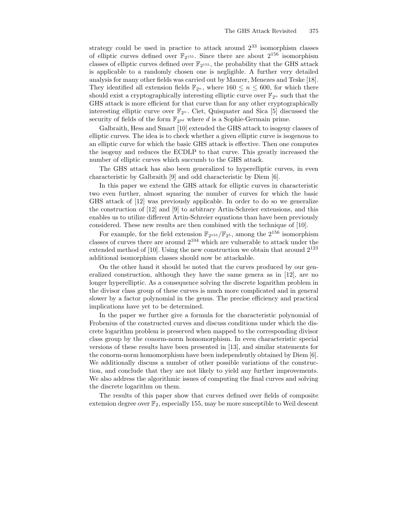strategy could be used in practice to attack around 2 <sup>33</sup> isomorphism classes of elliptic curves defined over  $\mathbb{F}_{2^{155}}$ . Since there are about  $2^{156}$  isomorphism classes of elliptic curves defined over  $\mathbb{F}_{2^{155}}$ , the probability that the GHS attack is applicable to a randomly chosen one is negligible. A further very detailed analysis for many other fields was carried out by Maurer, Menezes and Teske [18]. They identified all extension fields  $\mathbb{F}_{2^n}$ , where  $160 \leq n \leq 600$ , for which there should exist a cryptographically interesting elliptic curve over  $\mathbb{F}_{2^n}$  such that the GHS attack is more efficient for that curve than for any other cryptographically interesting elliptic curve over  $\mathbb{F}_{2^n}$ . Ciet, Quisquater and Sica [5] discussed the security of fields of the form  $\mathbb{F}_{2^{2d}}$  where d is a Sophie-Germain prime.

Galbraith, Hess and Smart [10] extended the GHS attack to isogeny classes of elliptic curves. The idea is to check whether a given elliptic curve is isogenous to an elliptic curve for which the basic GHS attack is effective. Then one computes the isogeny and reduces the ECDLP to that curve. This greatly increased the number of elliptic curves which succumb to the GHS attack.

The GHS attack has also been generalized to hyperelliptic curves, in even characteristic by Galbraith [9] and odd characteristic by Diem [6].

In this paper we extend the GHS attack for elliptic curves in characteristic two even further, almost squaring the number of curves for which the basic GHS attack of [12] was previously applicable. In order to do so we generalize the construction of [12] and [9] to arbitrary Artin-Schreier extensions, and this enables us to utilize different Artin-Schreier equations than have been previously considered. These new results are then combined with the technique of [10].

For example, for the field extension  $\mathbb{F}_{2^{155}}/\mathbb{F}_{2^5}$ , among the  $2^{156}$  isomorphism classes of curves there are around  $2^{104}$  which are vulnerable to attack under the extended method of [10]. Using the new construction we obtain that around  $2^{123}$ additional isomorphism classes should now be attackable.

On the other hand it should be noted that the curves produced by our generalized construction, although they have the same genera as in [12], are no longer hyperelliptic. As a consequence solving the discrete logarithm problem in the divisor class group of these curves is much more complicated and in general slower by a factor polynomial in the genus. The precise efficiency and practical implications have yet to be determined.

In the paper we further give a formula for the characteristic polynomial of Frobenius of the constructed curves and discuss conditions under which the discrete logarithm problem is preserved when mapped to the corresponding divisor class group by the conorm-norm homomorphism. In even characteristic special versions of these results have been presented in [13], and similar statements for the conorm-norm homomorphism have been independently obtained by Diem [6]. We additionally discuss a number of other possible variations of the construction, and conclude that they are not likely to yield any further improvements. We also address the algorithmic issues of computing the final curves and solving the discrete logarithm on them.

The results of this paper show that curves defined over fields of composite extension degree over  $\mathbb{F}_2$ , especially 155, may be more susceptible to Weil descent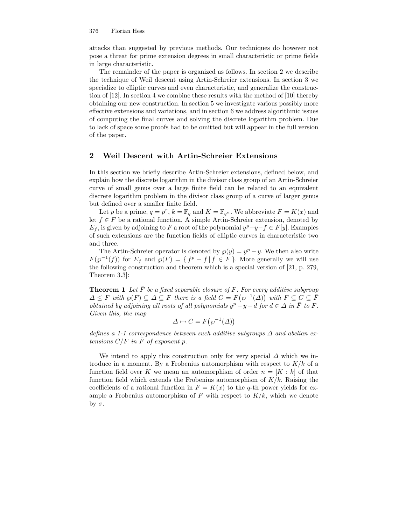attacks than suggested by previous methods. Our techniques do however not pose a threat for prime extension degrees in small characteristic or prime fields in large characteristic.

The remainder of the paper is organized as follows. In section 2 we describe the technique of Weil descent using Artin-Schreier extensions. In section 3 we specialize to elliptic curves and even characteristic, and generalize the construction of [12]. In section 4 we combine these results with the method of [10] thereby obtaining our new construction. In section 5 we investigate various possibly more effective extensions and variations, and in section 6 we address algorithmic issues of computing the final curves and solving the discrete logarithm problem. Due to lack of space some proofs had to be omitted but will appear in the full version of the paper.

# 2 Weil Descent with Artin-Schreier Extensions

In this section we briefly describe Artin-Schreier extensions, defined below, and explain how the discrete logarithm in the divisor class group of an Artin-Schreier curve of small genus over a large finite field can be related to an equivalent discrete logarithm problem in the divisor class group of a curve of larger genus but defined over a smaller finite field.

Let p be a prime,  $q = p^r$ ,  $k = \mathbb{F}_q$  and  $K = \mathbb{F}_{q^n}$ . We abbreviate  $F = K(x)$  and let  $f \in F$  be a rational function. A simple Artin-Schreier extension, denoted by  $E_f$ , is given by adjoining to F a root of the polynomial  $y^p-y-f \in F[y]$ . Examples of such extensions are the function fields of elliptic curves in characteristic two and three.

The Artin-Schreier operator is denoted by  $\wp(y) = y^p - y$ . We then also write  $F(\wp^{-1}(f))$  for  $E_f$  and  $\wp(F) = \{f^p - f | f \in F\}$ . More generally we will use the following construction and theorem which is a special version of [21, p. 279, Theorem 3.3]:

**Theorem 1** Let  $\overline{F}$  be a fixed separable closure of F. For every additive subgroup  $\Delta \leq F$  with  $\wp(F) \subseteq \Delta \subseteq F$  there is a field  $C = F(\wp^{-1}(\Delta))$  with  $F \subseteq C \subseteq \overline{F}$ obtained by adjoining all roots of all polynomials  $y^p - y - d$  for  $d \in \Delta$  in  $\overline{F}$  to  $F$ . Given this, the map

$$
\Delta \mapsto C = F(\wp^{-1}(\Delta))
$$

defines a 1-1 correspondence between such additive subgroups  $\Delta$  and abelian extensions  $C/F$  in  $\overline{F}$  of exponent p.

We intend to apply this construction only for very special  $\Delta$  which we introduce in a moment. By a Frobenius automorphism with respect to  $K/k$  of a function field over K we mean an automorphism of order  $n = [K : k]$  of that function field which extends the Frobenius automorphism of  $K/k$ . Raising the coefficients of a rational function in  $F = K(x)$  to the q-th power yields for example a Frobenius automorphism of F with respect to  $K/k$ , which we denote by  $σ$ .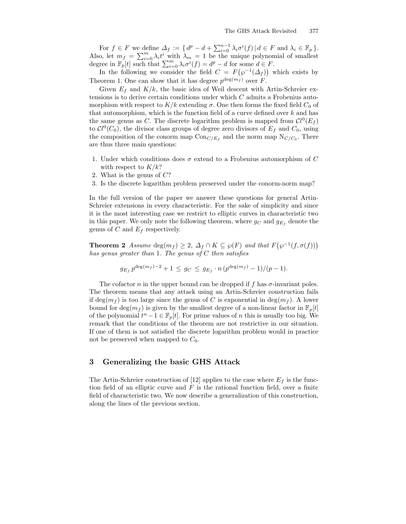For  $f \in F$  we define  $\Delta_f := \{ d^p - d + \sum_{i=0}^{n-1} \lambda_i \sigma^i(f) | d \in F$  and  $\lambda_i \in \mathbb{F}_p \}.$ Also, let  $m_f = \sum_{i=0}^m \lambda_i t^i$  with  $\lambda_m = 1$  be the unique polynomial of smallest degree in  $\mathbb{F}_p[t]$  such that  $\sum_{i=0}^m \lambda_i \sigma^i(f) = d^p - d$  for some  $d \in F$ .

In the following we consider the field  $C = F(\wp^{-1}(\Delta_f))$  which exists by Theorem 1. One can show that it has degree  $p^{\deg(m_f)}$  over F.

Given  $E_f$  and  $K/k$ , the basic idea of Weil descent with Artin-Schreier extensions is to derive certain conditions under which C admits a Frobenius automorphism with respect to  $K/k$  extending  $\sigma$ . One then forms the fixed field  $C_0$  of that automorphism, which is the function field of a curve defined over  $k$  and has the same genus as C. The discrete logarithm problem is mapped from  $Cl^0(E_f)$ to  $Cl^0(C_0)$ , the divisor class groups of degree zero divisors of  $E_f$  and  $C_0$ , using the composition of the conorm map  $Con_{C/E_f}$  and the norm map  $N_{C/C_0}$ . There are thus three main questions:

- 1. Under which conditions does  $\sigma$  extend to a Frobenius automorphism of  $C$ with respect to  $K/k$ ?
- 2. What is the genus of  $C$ ?
- 3. Is the discrete logarithm problem preserved under the conorm-norm map?

In the full version of the paper we answer these questions for general Artin-Schreier extensions in every characteristic. For the sake of simplicity and since it is the most interesting case we restrict to elliptic curves in characteristic two in this paper. We only note the following theorem, where  $g_C$  and  $g_{E_f}$  denote the genus of C and  $E_f$  respectively.

**Theorem 2** Assume  $\deg(m_f) \geq 2$ ,  $\Delta_f \cap K \subseteq \wp(F)$  and that  $F(\wp^{-1}(f, \sigma(f)))$ has genus greater than 1. The genus of  $C$  then satisfies

$$
g_{E_f} p^{\deg(m_f)-2} + 1 \leq g_C \leq g_{E_f} \cdot n (p^{\deg(m_f)} - 1)/(p - 1).
$$

The cofactor n in the upper bound can be dropped if f has  $\sigma$ -invariant poles. The theorem means that any attack using an Artin-Schreier construction fails if deg( $m_f$ ) is too large since the genus of C is exponential in deg( $m_f$ ). A lower bound for  $\deg(m_f)$  is given by the smallest degree of a non-linear factor in  $\mathbb{F}_p[t]$ of the polynomial  $t^n - 1 \in \mathbb{F}_p[t]$ . For prime values of n this is usually too big. We remark that the conditions of the theorem are not restrictive in our situation. If one of them is not satisfied the discrete logarithm problem would in practice not be preserved when mapped to  $C_0$ .

# 3 Generalizing the basic GHS Attack

The Artin-Schreier construction of [12] applies to the case where  $E_f$  is the function field of an elliptic curve and  $F$  is the rational function field, over a finite field of characteristic two. We now describe a generalization of this construction, along the lines of the previous section.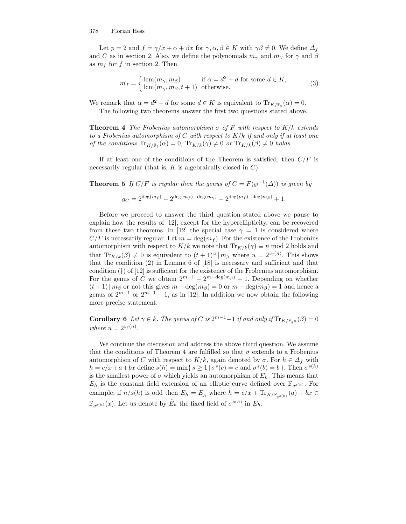Let  $p = 2$  and  $f = \gamma/x + \alpha + \beta x$  for  $\gamma, \alpha, \beta \in K$  with  $\gamma\beta \neq 0$ . We define  $\Delta_f$ and C as in section 2. Also, we define the polynomials  $m_{\gamma}$  and  $m_{\beta}$  for  $\gamma$  and  $\beta$ as  $m_f$  for f in section 2. Then

$$
m_f = \begin{cases} \operatorname{lcm}(m_\gamma, m_\beta) & \text{if } \alpha = d^2 + d \text{ for some } d \in K, \\ \operatorname{lcm}(m_\gamma, m_\beta, t+1) & \text{otherwise.} \end{cases} \tag{3}
$$

We remark that  $\alpha = d^2 + d$  for some  $d \in K$  is equivalent to  $\text{Tr}_{K/\mathbb{F}_2}(\alpha) = 0$ .

The following two theorems answer the first two questions stated above.

**Theorem 4** The Frobenius automorphism  $\sigma$  of F with respect to  $K/k$  extends to a Frobenius automorphism of C with respect to  $K/k$  if and only if at least one of the conditions  $\text{Tr}_{K/\mathbb{F}_2}(\alpha) = 0$ ,  $\text{Tr}_{K/k}(\gamma) \neq 0$  or  $\text{Tr}_{K/k}(\beta) \neq 0$  holds.

If at least one of the conditions of the Theorem is satisfied, then  $C/F$  is necessarily regular (that is,  $K$  is algebraically closed in  $C$ ).

**Theorem 5** If  $C/F$  is regular then the genus of  $C = F(\wp^{-1}(\Delta))$  is given by

$$
g_C = 2^{\deg(m_f)} - 2^{\deg(m_f) - \deg(m_{\gamma})} - 2^{\deg(m_f) - \deg(m_{\beta})} + 1.
$$

Before we proceed to answer the third question stated above we pause to explain how the results of [12], except for the hyperellipticity, can be recovered from these two theorems. In [12] the special case  $\gamma = 1$  is considered where  $C/F$  is necessarily regular. Let  $m = \deg(m_f)$ . For the existence of the Frobenius automorphism with respect to  $K/k$  we note that  $\text{Tr}_{K/k}(\gamma) \equiv n \mod 2$  holds and that  $\text{Tr}_{K/k}(\beta) \neq 0$  is equivalent to  $(t+1)^u | m_\beta$  where  $u = 2^{v_2(n)}$ . This shows that the condition (2) in Lemma 6 of [18] is necessary and sufficient and that condition (†) of [12] is sufficient for the existence of the Frobenius automorphism. For the genus of C we obtain  $2^{m-1} - 2^{m-\deg(m_\beta)} + 1$ . Depending on whether  $(t+1)| m_{\beta}$  or not this gives  $m - \deg(m_{\beta}) = 0$  or  $m - \deg(m_{\beta}) = 1$  and hence a genus of  $2^{m-1}$  or  $2^{m-1} - 1$ , as in [12]. In addition we now obtain the following more precise statement.

**Corollary 6** Let  $\gamma \in k$ . The genus of C is  $2^{m-1}-1$  if and only if  $\text{Tr}_{K/\mathbb{F}_{q^u}}(\beta) = 0$ where  $u = 2^{v_2(n)}$ .

We continue the discussion and address the above third question. We assume that the conditions of Theorem 4 are fulfilled so that  $\sigma$  extends to a Frobenius automorphism of C with respect to  $K/k$ , again denoted by  $\sigma$ . For  $h \in \Delta_f$  with  $h = c/x + a + bx$  define  $s(h) = \min\{ s \geq 1 \mid \sigma^s(c) = c \text{ and } \sigma^s(b) = b \}.$  Then  $\sigma^{s(h)}$ is the smallest power of  $\sigma$  which yields an automorphism of  $E_h$ . This means that  $E_h$  is the constant field extension of an elliptic curve defined over  $\mathbb{F}_{q^{s(h)}}$ . For example, if  $n/s(h)$  is odd then  $E_h = E_{\tilde{h}}$  where  $\tilde{h} = c/x + \text{Tr}_{K/\mathbb{F}_{q^{s(h)}}}(a) + bx \in$  $\mathbb{F}_{q^{s(h)}}(x)$ . Let us denote by  $\tilde{E}_h$  the fixed field of  $\sigma^{s(h)}$  in  $E_h$ .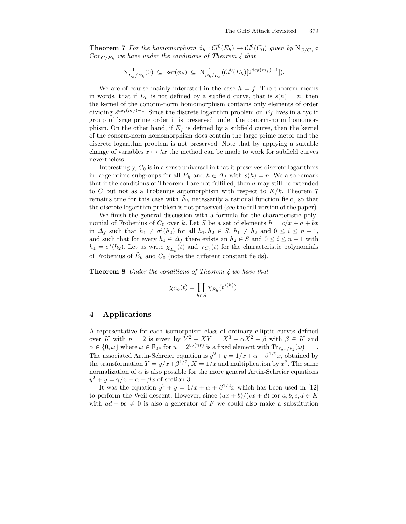**Theorem 7** For the homomorphism  $\phi_h : Cl^0(E_h) \to Cl^0(C_0)$  given by  $N_{C/C_0} \circ$  $Con_{C/E_h}$  we have under the conditions of Theorem 4 that

$$
\mathrm{N}_{E_h/\tilde{E}_h}^{-1}(0) \subseteq \ker(\phi_h) \subseteq \mathrm{N}_{E_h/\tilde{E}_h}^{-1}(\mathcal{C}l^0(\tilde{E}_h)[2^{\deg(m_f)-1}]).
$$

We are of course mainly interested in the case  $h = f$ . The theorem means in words, that if  $E_h$  is not defined by a subfield curve, that is  $s(h) = n$ , then the kernel of the conorm-norm homomorphism contains only elements of order dividing  $2^{\deg(m_f)-1}$ . Since the discrete logarithm problem on  $E_f$  lives in a cyclic group of large prime order it is preserved under the conorm-norm homomorphism. On the other hand, if  $E_f$  is defined by a subfield curve, then the kernel of the conorm-norm homomorphism does contain the large prime factor and the discrete logarithm problem is not preserved. Note that by applying a suitable change of variables  $x \mapsto \lambda x$  the method can be made to work for subfield curves nevertheless.

Interestingly,  $C_0$  is in a sense universal in that it preserves discrete logarithms in large prime subgroups for all  $E_h$  and  $h \in \Delta_f$  with  $s(h) = n$ . We also remark that if the conditions of Theorem 4 are not fulfilled, then  $\sigma$  may still be extended to C but not as a Frobenius automorphism with respect to  $K/k$ . Theorem 7 remains true for this case with  $\tilde{E}_h$  necessarily a rational function field, so that the discrete logarithm problem is not preserved (see the full version of the paper).

We finish the general discussion with a formula for the characteristic polynomial of Frobenius of  $C_0$  over k. Let S be a set of elements  $h = c/x + a + bx$ in  $\Delta_f$  such that  $h_1 \neq \sigma^i(h_2)$  for all  $h_1, h_2 \in S$ ,  $h_1 \neq h_2$  and  $0 \leq i \leq n-1$ , and such that for every  $h_1 \in \Delta_f$  there exists an  $h_2 \in S$  and  $0 \leq i \leq n-1$  with  $h_1 = \sigma^i(h_2)$ . Let us write  $\chi_{\tilde{E}_h}(t)$  and  $\chi_{C_0}(t)$  for the characteristic polynomials of Frobenius of  $\tilde{E}_h$  and  $C_0$  (note the different constant fields).

Theorem 8 Under the conditions of Theorem 4 we have that

$$
\chi_{C_0}(t) = \prod_{h \in S} \chi_{\tilde{E}_h}(t^{s(h)}).
$$

# 4 Applications

A representative for each isomorphism class of ordinary elliptic curves defined over K with  $p = 2$  is given by  $Y^2 + XY = X^3 + \alpha X^2 + \beta$  with  $\beta \in K$  and  $\alpha \in \{0, \omega\}$  where  $\omega \in \mathbb{F}_{2^u}$  for  $u = 2^{v_2(nr)}$  is a fixed element with  $\text{Tr}_{\mathbb{F}_{2^u}/\mathbb{F}_2}(\omega) = 1$ . The associated Artin-Schreier equation is  $y^2 + y = 1/x + \alpha + \beta^{1/2}x$ , obtained by the transformation  $Y = y/x + \beta^{1/2}$ ,  $X = 1/x$  and multiplication by  $x^2$ . The same normalization of  $\alpha$  is also possible for the more general Artin-Schreier equations  $y^2 + y = \gamma/x + \alpha + \beta x$  of section 3.

It was the equation  $y^2 + y = 1/x + \alpha + \beta^{1/2}x$  which has been used in [12] to perform the Weil descent. However, since  $(ax + b)/(cx + d)$  for  $a, b, c, d \in K$ with  $ad - bc \neq 0$  is also a generator of F we could also make a substitution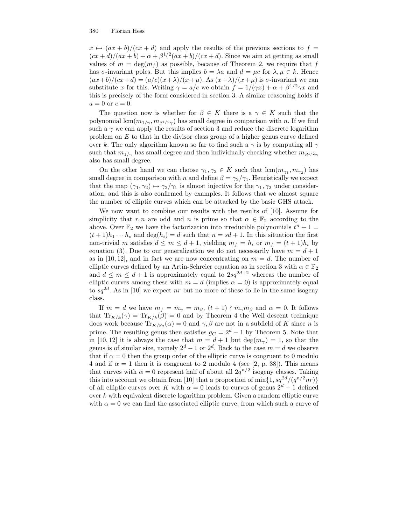$x \mapsto (ax + b)/(cx + d)$  and apply the results of the previous sections to  $f =$  $(cx+d)/(ax+b)+\alpha+\beta^{1/2}(ax+b)/(cx+d)$ . Since we aim at getting as small values of  $m = \deg(m_f)$  as possible, because of Theorem 2, we require that f has  $\sigma$ -invariant poles. But this implies  $b = \lambda a$  and  $d = \mu c$  for  $\lambda, \mu \in k$ . Hence  $(ax+b)/(cx+d) = (a/c)(x+\lambda)/(x+\mu)$ . As  $(x+\lambda)/(x+\mu)$  is  $\sigma$ -invariant we can substitute x for this. Writing  $\gamma = a/c$  we obtain  $f = 1/(\gamma x) + \alpha + \beta^{1/2}\gamma x$  and this is precisely of the form considered in section 3. A similar reasoning holds if  $a=0$  or  $c=0$ .

The question now is whether for  $\beta \in K$  there is a  $\gamma \in K$  such that the polynomial  $\text{lcm}(m_{1/\gamma}, m_{\beta^{1/2}\gamma})$  has small degree in comparison with n. If we find such a  $\gamma$  we can apply the results of section 3 and reduce the discrete logarithm problem on  $E$  to that in the divisor class group of a higher genus curve defined over k. The only algorithm known so far to find such a  $\gamma$  is by computing all  $\gamma$ such that  $m_{1/\gamma}$  has small degree and then individually checking whether  $m_{\beta^{1/2}\gamma}$ also has small degree.

On the other hand we can choose  $\gamma_1, \gamma_2 \in K$  such that  $\text{lcm}(m_{\gamma_1}, m_{\gamma_2})$  has small degree in comparison with n and define  $\beta = \gamma_2/\gamma_1$ . Heuristically we expect that the map  $(\gamma_1, \gamma_2) \mapsto \gamma_2/\gamma_1$  is almost injective for the  $\gamma_1, \gamma_2$  under consideration, and this is also confirmed by examples. It follows that we almost square the number of elliptic curves which can be attacked by the basic GHS attack.

We now want to combine our results with the results of [10]. Assume for simplicity that r, n are odd and n is prime so that  $\alpha \in \mathbb{F}_2$  according to the above. Over  $\mathbb{F}_2$  we have the factorization into irreducible polynomials  $t^n + 1 =$  $(t+1)h_1\cdots h_s$  and  $\deg(h_i)=d$  such that  $n=sd+1$ . In this situation the first non-trivial m satisfies  $d \leq m \leq d+1$ , yielding  $m_f = h_i$  or  $m_f = (t+1)h_i$  by equation (3). Due to our generalization we do not necessarily have  $m = d + 1$ as in [10, 12], and in fact we are now concentrating on  $m = d$ . The number of elliptic curves defined by an Artin-Schreier equation as in section 3 with  $\alpha \in \mathbb{F}_2$ and  $d \leq m \leq d+1$  is approximately equal to  $2sq^{2d+2}$  whereas the number of elliptic curves among these with  $m = d$  (implies  $\alpha = 0$ ) is approximately equal to  $sq^{2d}$ . As in [10] we expect nr but no more of these to lie in the same isogeny class.

If  $m = d$  we have  $m_f = m_\gamma = m_\beta$ ,  $(t+1) \nmid m_\gamma m_\beta$  and  $\alpha = 0$ . It follows that  $\text{Tr}_{K/k}(\gamma) = \text{Tr}_{K/k}(\beta) = 0$  and by Theorem 4 the Weil descent technique does work because  $\text{Tr}_{K/\mathbb{F}_2}(\alpha) = 0$  and  $\gamma, \beta$  are not in a subfield of K since n is prime. The resulting genus then satisfies  $g_C = 2^d - 1$  by Theorem 5. Note that in [10, 12] it is always the case that  $m = d + 1$  but  $\deg(m_{\gamma}) = 1$ , so that the genus is of similar size, namely  $2^d - 1$  or  $2^d$ . Back to the case  $m = d$  we observe that if  $\alpha = 0$  then the group order of the elliptic curve is congruent to 0 modulo 4 and if  $\alpha = 1$  then it is congruent to 2 modulo 4 (see [2, p. 38]). This means that curves with  $\alpha = 0$  represent half of about all  $2q^{n/2}$  isogeny classes. Taking this into account we obtain from [10] that a proportion of  $\min\{1, sq^{2d}/(q^{n/2}nr)\}$ of all elliptic curves over K with  $\alpha = 0$  leads to curves of genus  $2^d - 1$  defined over k with equivalent discrete logarithm problem. Given a random elliptic curve with  $\alpha = 0$  we can find the associated elliptic curve, from which such a curve of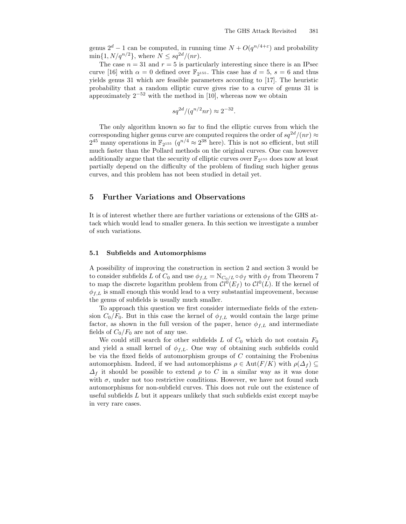genus  $2^d - 1$  can be computed, in running time  $N + O(q^{n/4+\epsilon})$  and probability  $\min\{1, N/q^{n/2}\},\,$  where  $N \leq sq^{2d}/(nr).$ 

The case  $n = 31$  and  $r = 5$  is particularly interesting since there is an IPsec curve [16] with  $\alpha = 0$  defined over  $\mathbb{F}_{2^{155}}$ . This case has  $d = 5$ ,  $s = 6$  and thus yields genus 31 which are feasible parameters according to [17]. The heuristic probability that a random elliptic curve gives rise to a curve of genus 31 is approximately  $2^{-52}$  with the method in [10], whereas now we obtain

$$
sq^{2d}/(q^{n/2}nr) \approx 2^{-32}.
$$

The only algorithm known so far to find the elliptic curves from which the corresponding higher genus curve are computed requires the order of  $sq^{2d}/(nr) \approx$  $2^{45}$  many operations in  $\mathbb{F}_{2^{155}}$   $(q^{n/4} \approx 2^{38}$  here). This is not so efficient, but still much faster than the Pollard methods on the original curves. One can however additionally argue that the security of elliptic curves over  $\mathbb{F}_{2^{155}}$  does now at least partially depend on the difficulty of the problem of finding such higher genus curves, and this problem has not been studied in detail yet.

# 5 Further Variations and Observations

It is of interest whether there are further variations or extensions of the GHS attack which would lead to smaller genera. In this section we investigate a number of such variations.

### 5.1 Subfields and Automorphisms

A possibility of improving the construction in section 2 and section 3 would be to consider subfields L of  $C_0$  and use  $\phi_{f,L} = N_{C_0/L} \circ \phi_f$  with  $\phi_f$  from Theorem 7 to map the discrete logarithm problem from  $Cl^0(E_f)$  to  $Cl^0(L)$ . If the kernel of  $\phi_{f,L}$  is small enough this would lead to a very substantial improvement, because the genus of subfields is usually much smaller.

To approach this question we first consider intermediate fields of the extension  $C_0/F_0$ . But in this case the kernel of  $\phi_{f,L}$  would contain the large prime factor, as shown in the full version of the paper, hence  $\phi_{f,L}$  and intermediate fields of  $C_0/F_0$  are not of any use.

We could still search for other subfields L of  $C_0$  which do not contain  $F_0$ and yield a small kernel of  $\phi_{f,L}$ . One way of obtaining such subfields could be via the fixed fields of automorphism groups of  $C$  containing the Frobenius automorphism. Indeed, if we had automorphisms  $\rho \in \text{Aut}(F/K)$  with  $\rho(\Delta_f) \subseteq$  $\Delta_f$  it should be possible to extend  $\rho$  to C in a similar way as it was done with  $\sigma$ , under not too restrictive conditions. However, we have not found such automorphisms for non-subfield curves. This does not rule out the existence of useful subfields  $L$  but it appears unlikely that such subfields exist except maybe in very rare cases.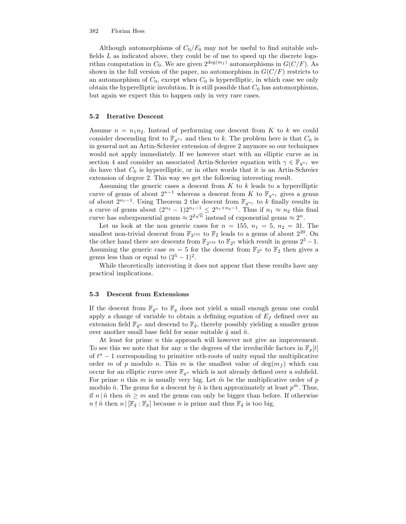Although automorphisms of  $C_0/F_0$  may not be useful to find suitable subfields  $L$  as indicated above, they could be of use to speed up the discrete logarithm computation in  $C_0$ . We are given  $2^{\deg(m_f)}$  automorphisms in  $G(C/F)$ . As shown in the full version of the paper, no automorphism in  $G(C/F)$  restricts to an automorphism of  $C_0$ , except when  $C_0$  is hyperelliptic, in which case we only obtain the hyperelliptic involution. It is still possible that  $C_0$  has automorphisms, but again we expect this to happen only in very rare cases.

### 5.2 Iterative Descent

Assume  $n = n_1 n_2$ . Instead of performing one descent from K to k we could consider descending first to  $\mathbb{F}_{q^{n_1}}$  and then to k. The problem here is that  $C_0$  is in general not an Artin-Schreier extension of degree 2 anymore so our techniques would not apply immediately. If we however start with an elliptic curve as in section 4 and consider an associated Artin-Schreier equation with  $\gamma \in \mathbb{F}_{q^{n_1}}$  we do have that  $C_0$  is hyperelliptic, or in other words that it is an Artin-Schreier extension of degree 2. This way we get the following interesting result.

Assuming the generic cases a descent from  $K$  to  $k$  leads to a hyperelliptic curve of genus of about  $2^{n-1}$  whereas a descent from K to  $\mathbb{F}_{q^{n_1}}$  gives a genus of about  $2^{n_1-1}$ . Using Theorem 2 the descent from  $\mathbb{F}_{q^{n_1}}$  to k finally results in a curve of genus about  $(2^{n_2} - 1)2^{n_1-1} \leq 2^{n_1+n_2-1}$ . Thus if  $n_1 \approx n_2$  this final curve has subexponential genus  $\approx 2^{2\sqrt{n}}$  instead of exponential genus  $\approx 2^n$ .

Let us look at the non generic cases for  $n = 155$ ,  $n_1 = 5$ ,  $n_2 = 31$ . The smallest non-trivial descent from  $\mathbb{F}_{2^{155}}$  to  $\mathbb{F}_{2}$  leads to a genus of about  $2^{20}$ . On the other hand there are descents from  $\mathbb{F}_{2^{155}}$  to  $\mathbb{F}_{2^5}$  which result in genus  $2^5 - 1$ . Assuming the generic case  $m = 5$  for the descent from  $\mathbb{F}_{2^5}$  to  $\mathbb{F}_{2}$  then gives a genus less than or equal to  $(2^5 - 1)^2$ .

While theoretically interesting it does not appear that these results have any practical implications.

### 5.3 Descent from Extensions

If the descent from  $\mathbb{F}_{q^n}$  to  $\mathbb{F}_q$  does not yield a small enough genus one could apply a change of variable to obtain a defining equation of  $E_f$  defined over an extension field  $\mathbb{F}_{\tilde{q}^n}$  and descend to  $\mathbb{F}_{\tilde{q}}$ , thereby possibly yielding a smaller genus over another small base field for some suitable  $\tilde{q}$  and  $\tilde{n}$ .

At least for prime  $n$  this approach will however not give an improvement. To see this we note that for any n the degrees of the irreducible factors in  $\mathbb{F}_p[t]$ of  $t<sup>n</sup> - 1$  corresponding to primitive *n*th-roots of unity equal the multiplicative order m of p modulo n. This m is the smallest value of  $\deg(m_f)$  which can occur for an elliptic curve over  $\mathbb{F}_{q^n}$  which is not already defined over a subfield. For prime *n* this *m* is usually very big. Let  $\tilde{m}$  be the multiplicative order of p modulo  $\tilde{n}$ . The genus for a descent by  $\tilde{n}$  is then approximately at least  $p^{\tilde{m}}$ . Thus, if  $n | \tilde{n}$  then  $\tilde{m} \geq m$  and the genus can only be bigger than before. If otherwise  $n \nmid \tilde{n}$  then  $n \mid [\mathbb{F}_{q} : \mathbb{F}_{p}]$  because n is prime and thus  $\mathbb{F}_{q}$  is too big.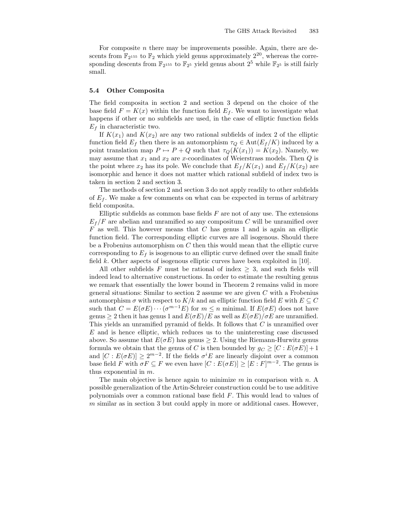For composite  $n$  there may be improvements possible. Again, there are descents from  $\mathbb{F}_{2^{155}}$  to  $\mathbb{F}_{2}$  which yield genus approximately  $2^{20}$ , whereas the corresponding descents from  $\mathbb{F}_{2^{155}}$  to  $\mathbb{F}_{2^5}$  yield genus about  $2^5$  while  $\mathbb{F}_{2^5}$  is still fairly small.

### 5.4 Other Composita

The field composita in section 2 and section 3 depend on the choice of the base field  $F = K(x)$  within the function field  $E<sub>f</sub>$ . We want to investigate what happens if other or no subfields are used, in the case of elliptic function fields  $E_f$  in characteristic two.

If  $K(x_1)$  and  $K(x_2)$  are any two rational subfields of index 2 of the elliptic function field  $E_f$  then there is an automorphism  $\tau_Q \in \text{Aut}(E_f/K)$  induced by a point translation map  $P \mapsto P + Q$  such that  $\tau_Q(K(x_1)) = K(x_2)$ . Namely, we may assume that  $x_1$  and  $x_2$  are x-coordinates of Weierstrass models. Then Q is the point where  $x_2$  has its pole. We conclude that  $E_f/K(x_1)$  and  $E_f/K(x_2)$  are isomorphic and hence it does not matter which rational subfield of index two is taken in section 2 and section 3.

The methods of section 2 and section 3 do not apply readily to other subfields of  $E_f$ . We make a few comments on what can be expected in terms of arbitrary field composita.

Elliptic subfields as common base fields  $F$  are not of any use. The extensions  $E_f/F$  are abelian and unramified so any compositum C will be unramified over  $F$  as well. This however means that  $C$  has genus 1 and is again an elliptic function field. The corresponding elliptic curves are all isogenous. Should there be a Frobenius automorphism on  $C$  then this would mean that the elliptic curve corresponding to  $E_f$  is isogenous to an elliptic curve defined over the small finite field  $k$ . Other aspects of isogenous elliptic curves have been exploited in [10].

All other subfields F must be rational of index  $\geq$  3, and such fields will indeed lead to alternative constructions. In order to estimate the resulting genus we remark that essentially the lower bound in Theorem 2 remains valid in more general situations: Similar to section 2 assume we are given  $C$  with a Frobenius automorphism  $\sigma$  with respect to  $K/k$  and an elliptic function field E with  $E \subseteq C$ such that  $C = E(\sigma E) \cdots (\sigma^{m-1} E)$  for  $m \leq n$  minimal. If  $E(\sigma E)$  does not have genus  $\geq 2$  then it has genus 1 and  $E(\sigma E)/E$  as well as  $E(\sigma E)/\sigma E$  are unramified. This yields an unramified pyramid of fields. It follows that C is unramified over E and is hence elliptic, which reduces us to the uninteresting case discussed above. So assume that  $E(\sigma E)$  has genus  $\geq 2$ . Using the Riemann-Hurwitz genus formula we obtain that the genus of C is then bounded by  $g_C \geq [C : E(\sigma E)] + 1$ and  $[C: E(\sigma E)] \geq 2^{m-2}$ . If the fields  $\sigma^i E$  are linearly disjoint over a common base field F with  $\sigma F \subseteq F$  we even have  $[C: E(\sigma E)] \geq [E:F]^{m-2}$ . The genus is thus exponential in m.

The main objective is hence again to minimize  $m$  in comparison with  $n$ . A possible generalization of the Artin-Schreier construction could be to use additive polynomials over a common rational base field F. This would lead to values of  $m$  similar as in section 3 but could apply in more or additional cases. However,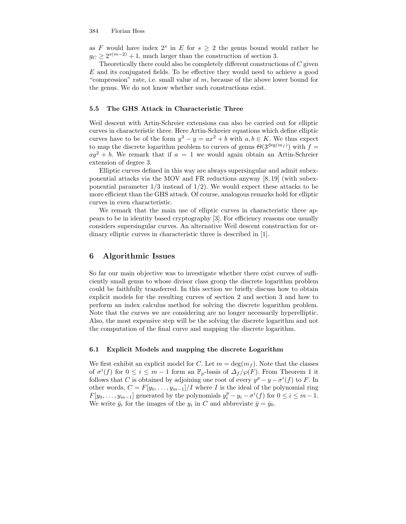as F would have index  $2^s$  in E for  $s \geq 2$  the genus bound would rather be  $g_C \ge 2^{s(m-2)} + 1$ , much larger than the construction of section 3.

Theoretically there could also be completely different constructions of  $C$  given E and its conjugated fields. To be effective they would need to achieve a good "compression" rate, i.e. small value of  $m$ , because of the above lower bound for the genus. We do not know whether such constructions exist.

### 5.5 The GHS Attack in Characteristic Three

Weil descent with Artin-Schreier extensions can also be carried out for elliptic curves in characteristic three. Here Artin-Schreier equations which define elliptic curves have to be of the form  $y^3 - y = ax^2 + b$  with  $a, b \in K$ . We thus expect to map the discrete logarithm problem to curves of genus  $\Theta(3^{\deg(m_f)})$  with  $f =$  $ay^2 + b$ . We remark that if  $a = 1$  we would again obtain an Artin-Schreier extension of degree 3.

Elliptic curves defined in this way are always supersingular and admit subexponential attacks via the MOV and FR reductions anyway [8, 19] (with subexponential parameter  $1/3$  instead of  $1/2$ ). We would expect these attacks to be more efficient than the GHS attack. Of course, analogous remarks hold for elliptic curves in even characteristic.

We remark that the main use of elliptic curves in characteristic three appears to be in identity based cryptography [3]. For efficiency reasons one usually considers supersingular curves. An alternative Weil descent construction for ordinary elliptic curves in characteristic three is described in [1].

### 6 Algorithmic Issues

So far our main objective was to investigate whether there exist curves of sufficiently small genus to whose divisor class group the discrete logarithm problem could be faithfully transferred. In this section we briefly discuss how to obtain explicit models for the resulting curves of section 2 and section 3 and how to perform an index calculus method for solving the discrete logarithm problem. Note that the curves we are considering are no longer necessarily hyperelliptic. Also, the most expensive step will be the solving the discrete logarithm and not the computation of the final curve and mapping the discrete logarithm.

### 6.1 Explicit Models and mapping the discrete Logarithm

We first exhibit an explicit model for C. Let  $m = \deg(m_f)$ . Note that the classes of  $\sigma^{i}(f)$  for  $0 \leq i \leq m-1$  form an  $\mathbb{F}_{p}$ -basis of  $\Delta_{f}/\wp(F)$ . From Theorem 1 it follows that C is obtained by adjoining one root of every  $y^p - y - \sigma^i(f)$  to F. In other words,  $C = F[y_0, \ldots, y_{m-1}]/I$  where I is the ideal of the polynomial ring  $F[y_0, \ldots, y_{m-1}]$  generated by the polynomials  $y_i^p - y_i - \sigma^i(f)$  for  $0 \le i \le m-1$ . We write  $\bar{y}_i$  for the images of the  $y_i$  in C and abbreviate  $\bar{y} = \bar{y}_0$ .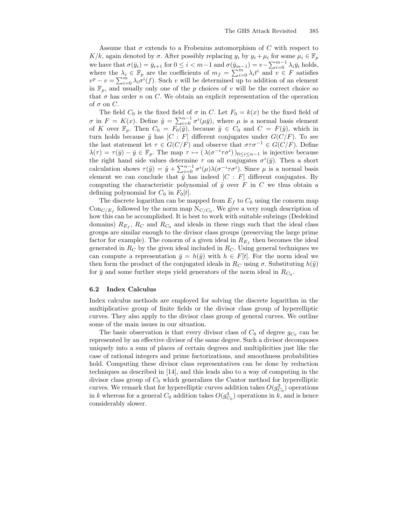Assume that  $\sigma$  extends to a Frobenius automorphism of C with respect to K/k, again denoted by  $\sigma$ . After possibly replacing  $y_i$  by  $y_i + \mu_i$  for some  $\mu_i \in \mathbb{F}_p$ we have that  $\sigma(\bar{y}_i) = \bar{y}_{i+1}$  for  $0 \leq i < m-1$  and  $\sigma(\bar{y}_{m-1}) = v - \sum_{i=0}^{m-1} \lambda_i \bar{y}_i$  holds, where the  $\lambda_i \in \mathbb{F}_p$  are the coefficients of  $m_f = \sum_{i=0}^m \lambda_i t^i$  and  $v \in F$  satisfies  $v^p - v = \sum_{i=0}^m \lambda_i \sigma^i(f)$ . Such v will be determined up to addition of an element in  $\mathbb{F}_p$ , and usually only one of the p choices of v will be the correct choice so that  $\sigma$  has order n on C. We obtain an explicit representation of the operation of  $\sigma$  on  $C$ .

The field  $C_0$  is the fixed field of  $\sigma$  in C. Let  $F_0 = k(x)$  be the fixed field of  $\sigma$  in  $F = K(x)$ . Define  $\tilde{y} = \sum_{i=0}^{n-1} \sigma^i(\mu \bar{y})$ , where  $\mu$  is a normal basis element of K over  $\mathbb{F}_p$ . Then  $C_0 = F_0(\tilde{y})$ , because  $\tilde{y} \in C_0$  and  $C = F(\tilde{y})$ , which in turn holds because  $\tilde{y}$  has  $[C : F]$  different conjugates under  $G(C/F)$ . To see the last statement let  $\tau \in G(C/F)$  and observe that  $\sigma \tau \sigma^{-1} \in G(C/F)$ . Define  $\lambda(\tau) = \tau(\bar{y}) - \bar{y} \in \mathbb{F}_p$ . The map  $\tau \mapsto (\lambda(\sigma^{-i}\tau\sigma^{i}))_{0 \leq i \leq n-1}$  is injective because the right hand side values determine  $\tau$  on all conjugates  $\sigma^{i}(\bar{y})$ . Then a short calculation shows  $\tau(\tilde{y}) = \tilde{y} + \sum_{i=0}^{n-1} \sigma^i(\mu) \lambda(\sigma^{-i} \tau \sigma^i)$ . Since  $\mu$  is a normal basis element we can conclude that  $\tilde{y}$  has indeed  $[C : F]$  different conjugates. By computing the characteristic polynomial of  $\tilde{y}$  over F in C we thus obtain a defining polynomial for  $C_0$  in  $F_0[t]$ .

The discrete logarithm can be mapped from  $E_f$  to  $C_0$  using the conorm map  $Con_{C/E_f}$  followed by the norm map  $N_{C/C_0}$ . We give a very rough description of how this can be accomplished. It is best to work with suitable subrings (Dedekind domains)  $R_{E_f}$ ,  $R_C$  and  $R_{C_0}$  and ideals in these rings such that the ideal class groups are similar enough to the divisor class groups (preserving the large prime factor for example). The conorm of a given ideal in  $R_{E_f}$  then becomes the ideal generated in  $R_C$  by the given ideal included in  $R_C$ . Using general techniques we can compute a representation  $\bar{y} = h(\tilde{y})$  with  $h \in F[t]$ . For the norm ideal we then form the product of the conjugated ideals in  $R_C$  using  $\sigma$ . Substituting  $h(\tilde{y})$ for  $\bar{y}$  and some further steps yield generators of the norm ideal in  $R_{C_0}$ .

#### 6.2 Index Calculus

Index calculus methods are employed for solving the discrete logarithm in the multiplicative group of finite fields or the divisor class group of hyperelliptic curves. They also apply to the divisor class group of general curves. We outline some of the main issues in our situation.

The basic observation is that every divisor class of  $C_0$  of degree  $g_{C_0}$  can be represented by an effective divisor of the same degree. Such a divisor decomposes uniquely into a sum of places of certain degrees and multiplicities just like the case of rational integers and prime factorizations, and smoothness probabilities hold. Computing these divisor class representatives can be done by reduction techniques as described in [14], and this leads also to a way of computing in the divisor class group of  $C_0$  which generalizes the Cantor method for hyperelliptic curves. We remark that for hyperelliptic curves addition takes  $O(g_{C_0}^2)$  operations in k whereas for a general  $C_0$  addition takes  $O(g_{C_0}^4)$  operations in k, and is hence considerably slower.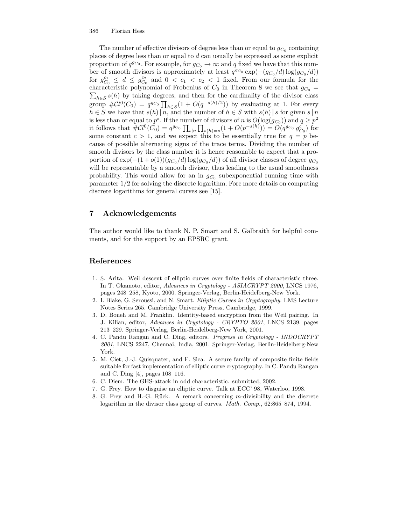The number of effective divisors of degree less than or equal to  $g_{C_0}$  containing places of degree less than or equal to d can usually be expressed as some explicit proportion of  $q^{g_{C_0}}$ . For example, for  $g_{C_0} \to \infty$  and q fixed we have that this number of smooth divisors is approximately at least  $q^{g_{C_0}} \exp(-(g_{C_0}/d) \log(g_{C_0}/d))$ for  $g_{C_0}^{c_1} \leq d \leq g_{C_0}^{c_2}$  and  $0 < c_1 < c_2 < 1$  fixed. From our formula for the  $\sum_{h\in S} s(h)$  by taking degrees, and then for the cardinality of the divisor class characteristic polynomial of Frobenius of  $C_0$  in Theorem 8 we see that  $g_{C_0}$  = group  $\#\mathcal{C}l^0(C_0) = q^{g_{C_0}}\prod_{h\in S}(1+O(q^{-s(h)/2}))$  by evaluating at 1. For every  $h \in S$  we have that  $s(h) \mid n$ , and the number of  $h \in S$  with  $s(h) \mid s$  for given  $s \mid n$ is less than or equal to  $p^s$ . If the number of divisors of n is  $O(log(g_{C_0}))$  and  $q \geq p^2$ it follows that  $\#\mathcal{C}l^0(C_0) = q^{g_{C_0}} \prod_{s|n} \prod_{s(h)=s} (1 + O(p^{-s(h)})) = O(q^{g_{C_0}} g_{C_0}^c)$  for some constant  $c > 1$ , and we expect this to be essentially true for  $q = p$  because of possible alternating signs of the trace terms. Dividing the number of smooth divisors by the class number it is hence reasonable to expect that a proportion of  $\exp(-(1+o(1))(g_{C_0}/d)\log(g_{C_0}/d))$  of all divisor classes of degree  $g_{C_0}$ will be representable by a smooth divisor, thus leading to the usual smoothness probability. This would allow for an in  $g_{C_0}$  subexponential running time with parameter 1/2 for solving the discrete logarithm. Fore more details on computing discrete logarithms for general curves see [15].

# 7 Acknowledgements

The author would like to thank N. P. Smart and S. Galbraith for helpful comments, and for the support by an EPSRC grant.

# References

- 1. S. Arita. Weil descent of elliptic curves over finite fields of characteristic three. In T. Okamoto, editor, Advances in Cryptology - ASIACRYPT 2000, LNCS 1976, pages 248–258, Kyoto, 2000. Springer-Verlag, Berlin-Heidelberg-New York.
- 2. I. Blake, G. Seroussi, and N. Smart. Elliptic Curves in Cryptography. LMS Lecture Notes Series 265. Cambridge University Press, Cambridge, 1999.
- 3. D. Boneh and M. Franklin. Identity-based encryption from the Weil pairing. In J. Kilian, editor, Advances in Cryptology - CRYPTO 2001, LNCS 2139, pages 213–229. Springer-Verlag, Berlin-Heidelberg-New York, 2001.
- 4. C. Pandu Rangan and C. Ding, editors. Progress in Cryptology INDOCRYPT 2001, LNCS 2247, Chennai, India, 2001. Springer-Verlag, Berlin-Heidelberg-New York.
- 5. M. Ciet, J.-J. Quisquater, and F. Sica. A secure family of composite finite fields suitable for fast implementation of elliptic curve cryptography. In C. Pandu Rangan and C. Ding [4], pages 108–116.
- 6. C. Diem. The GHS-attack in odd characteristic. submitted, 2002.
- 7. G. Frey. How to disguise an elliptic curve. Talk at ECC' 98, Waterloo, 1998.
- 8. G. Frey and H.-G. Rück. A remark concerning  $m$ -divisibility and the discrete logarithm in the divisor class group of curves. Math. Comp., 62:865-874, 1994.